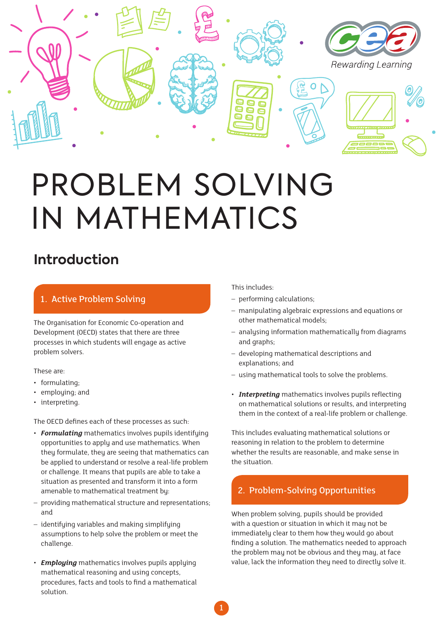

# PROBLEM SOLVING IN MATHEMATICS

# **Introduction**

#### 1. Active Problem Solving

The Organisation for Economic Co-operation and Development (OECD) states that there are three processes in which students will engage as active problem solvers.

These are:

- formulating;
- employing; and
- interpreting.

The OECD defines each of these processes as such:

- *Formulating* mathematics involves pupils identifying opportunities to apply and use mathematics. When they formulate, they are seeing that mathematics can be applied to understand or resolve a real-life problem or challenge. It means that pupils are able to take a situation as presented and transform it into a form amenable to mathematical treatment by:
- providing mathematical structure and representations; and
- identifying variables and making simplifying assumptions to help solve the problem or meet the challenge.
- *Employing* mathematics involves pupils applying mathematical reasoning and using concepts, procedures, facts and tools to find a mathematical solution.

This includes:

- performing calculations;
- manipulating algebraic expressions and equations or other mathematical models;
- analysing information mathematically from diagrams and graphs;
- developing mathematical descriptions and explanations; and
- using mathematical tools to solve the problems.
- *Interpreting* mathematics involves pupils reflecting on mathematical solutions or results, and interpreting them in the context of a real-life problem or challenge.

This includes evaluating mathematical solutions or reasoning in relation to the problem to determine whether the results are reasonable, and make sense in the situation.

### 2. Problem-Solving Opportunities

When problem solving, pupils should be provided with a question or situation in which it may not be immediately clear to them how they would go about finding a solution. The mathematics needed to approach the problem may not be obvious and they may, at face value, lack the information they need to directly solve it.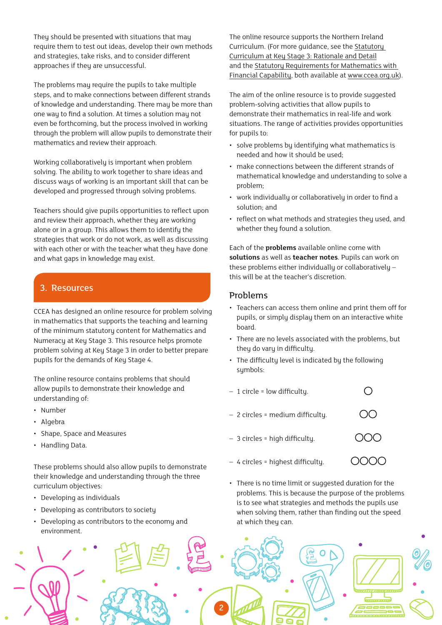They should be presented with situations that may require them to test out ideas, develop their own methods and strategies, take risks, and to consider different approaches if they are unsuccessful.

The problems may require the pupils to take multiple steps, and to make connections between different strands of knowledge and understanding. There may be more than one way to find a solution. At times a solution may not even be forthcoming, but the process involved in working through the problem will allow pupils to demonstrate their mathematics and review their approach.

Working collaboratively is important when problem solving. The ability to work together to share ideas and discuss ways of working is an important skill that can be developed and progressed through solving problems.

Teachers should give pupils opportunities to reflect upon and review their approach, whether they are working alone or in a group. This allows them to identify the strategies that work or do not work, as well as discussing with each other or with the teacher what they have done and what gaps in knowledge may exist.

#### 3. Resources

CCEA has designed an online resource for problem solving in mathematics that supports the teaching and learning of the minimum statutory content for Mathematics and Numeracy at Key Stage 3. This resource helps promote problem solving at Key Stage 3 in order to better prepare pupils for the demands of Key Stage 4.

The online resource contains problems that should allow pupils to demonstrate their knowledge and understanding of:

- Number
- Algebra
- Shape, Space and Measures
- Handling Data.

These problems should also allow pupils to demonstrate their knowledge and understanding through the three curriculum objectives:

- Developing as individuals
- Developing as contributors to society
- Developing as contributors to the economy and environment.

The online resource supports the Northern Ireland Curriculum. (For more guidance, [see the Statutory](http://www.bit.ly/2n5HBXr)  [Curriculum at Key Stage 3: Rationale and Detail](http://www.bit.ly/2n5HBXr) and the [Statutory Requirements for Mathematics with](http://www.nicurriculum.org.uk/docs/key_stage_3/statutory_requirements/ks3_mathematics_new.pdf)  [Financial Capability](http://www.nicurriculum.org.uk/docs/key_stage_3/statutory_requirements/ks3_mathematics_new.pdf), both available at www.ccea.org.uk).

The aim of the online resource is to provide suggested problem-solving activities that allow pupils to demonstrate their mathematics in real-life and work situations. The range of activities provides opportunities for pupils to:

- solve problems by identifying what mathematics is needed and how it should be used;
- make connections between the different strands of mathematical knowledge and understanding to solve a problem;
- work individually or collaboratively in order to find a solution; and
- reflect on what methods and strategies they used, and whether they found a solution.

Each of the **problems** available online come with **solutions** as well as **teacher notes**. Pupils can work on these problems either individually or collaboratively – this will be at the teacher's discretion.

#### Problems

- Teachers can access them online and print them off for pupils, or simply display them on an interactive white board.
- There are no levels associated with the problems, but they do vary in difficulty.
- The difficulty level is indicated by the following symbols:
- $\bigcirc$ – 1 circle = low difficulty.
- 2 circles = medium difficulty.
- 3 circles = high difficulty.
- OOOO – 4 circles = highest difficulty.
- There is no time limit or suggested duration for the problems. This is because the purpose of the problems is to see what strategies and methods the pupils use when solving them, rather than finding out the speed at which they can.